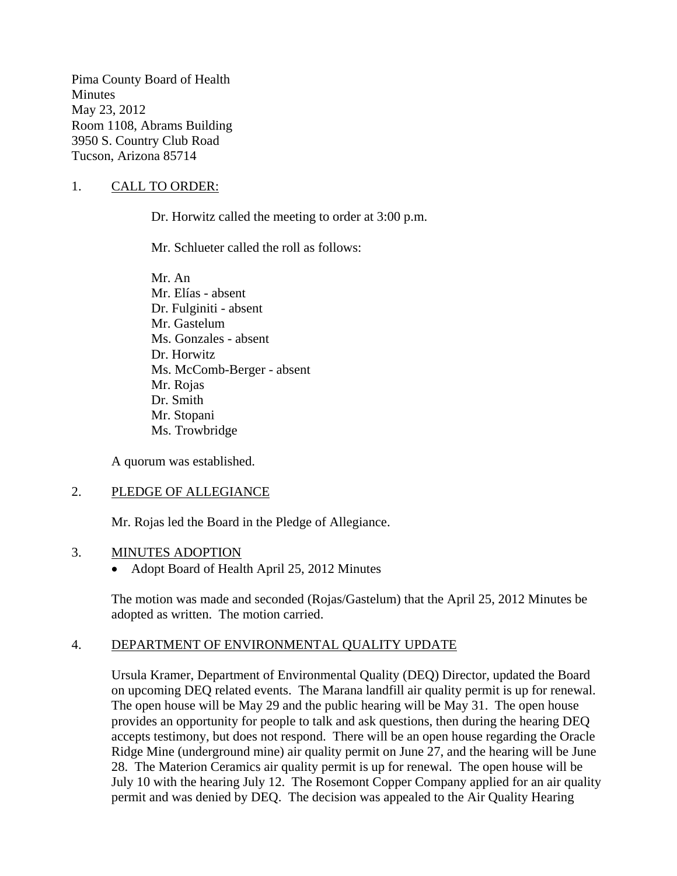Pima County Board of Health Minutes May 23, 2012 Room 1108, Abrams Building 3950 S. Country Club Road Tucson, Arizona 85714

# 1. CALL TO ORDER:

Dr. Horwitz called the meeting to order at 3:00 p.m.

Mr. Schlueter called the roll as follows:

Mr. An Mr. Elías - absent Dr. Fulginiti - absent Mr. Gastelum Ms. Gonzales - absent Dr. Horwitz Ms. McComb-Berger - absent Mr. Rojas Dr. Smith Mr. Stopani Ms. Trowbridge

A quorum was established.

### 2. PLEDGE OF ALLEGIANCE

Mr. Rojas led the Board in the Pledge of Allegiance.

#### 3. MINUTES ADOPTION

• Adopt Board of Health April 25, 2012 Minutes

The motion was made and seconded (Rojas/Gastelum) that the April 25, 2012 Minutes be adopted as written. The motion carried.

### 4. DEPARTMENT OF ENVIRONMENTAL QUALITY UPDATE

Ursula Kramer, Department of Environmental Quality (DEQ) Director, updated the Board on upcoming DEQ related events. The Marana landfill air quality permit is up for renewal. The open house will be May 29 and the public hearing will be May 31. The open house provides an opportunity for people to talk and ask questions, then during the hearing DEQ accepts testimony, but does not respond. There will be an open house regarding the Oracle Ridge Mine (underground mine) air quality permit on June 27, and the hearing will be June 28. The Materion Ceramics air quality permit is up for renewal. The open house will be July 10 with the hearing July 12. The Rosemont Copper Company applied for an air quality permit and was denied by DEQ. The decision was appealed to the Air Quality Hearing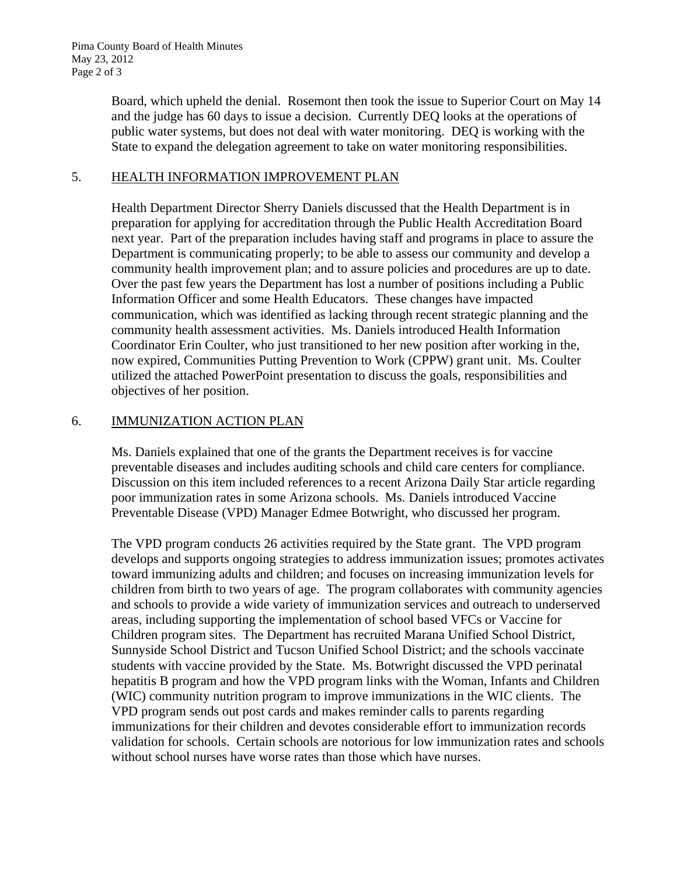Board, which upheld the denial. Rosemont then took the issue to Superior Court on May 14 and the judge has 60 days to issue a decision. Currently DEQ looks at the operations of public water systems, but does not deal with water monitoring. DEQ is working with the State to expand the delegation agreement to take on water monitoring responsibilities.

# 5. HEALTH INFORMATION IMPROVEMENT PLAN

Health Department Director Sherry Daniels discussed that the Health Department is in preparation for applying for accreditation through the Public Health Accreditation Board next year. Part of the preparation includes having staff and programs in place to assure the Department is communicating properly; to be able to assess our community and develop a community health improvement plan; and to assure policies and procedures are up to date. Over the past few years the Department has lost a number of positions including a Public Information Officer and some Health Educators. These changes have impacted communication, which was identified as lacking through recent strategic planning and the community health assessment activities. Ms. Daniels introduced Health Information Coordinator Erin Coulter, who just transitioned to her new position after working in the, now expired, Communities Putting Prevention to Work (CPPW) grant unit. Ms. Coulter utilized the attached PowerPoint presentation to discuss the goals, responsibilities and objectives of her position.

# 6. IMMUNIZATION ACTION PLAN

Ms. Daniels explained that one of the grants the Department receives is for vaccine preventable diseases and includes auditing schools and child care centers for compliance. Discussion on this item included references to a recent Arizona Daily Star article regarding poor immunization rates in some Arizona schools. Ms. Daniels introduced Vaccine Preventable Disease (VPD) Manager Edmee Botwright, who discussed her program.

The VPD program conducts 26 activities required by the State grant. The VPD program develops and supports ongoing strategies to address immunization issues; promotes activates toward immunizing adults and children; and focuses on increasing immunization levels for children from birth to two years of age. The program collaborates with community agencies and schools to provide a wide variety of immunization services and outreach to underserved areas, including supporting the implementation of school based VFCs or Vaccine for Children program sites. The Department has recruited Marana Unified School District, Sunnyside School District and Tucson Unified School District; and the schools vaccinate students with vaccine provided by the State. Ms. Botwright discussed the VPD perinatal hepatitis B program and how the VPD program links with the Woman, Infants and Children (WIC) community nutrition program to improve immunizations in the WIC clients. The VPD program sends out post cards and makes reminder calls to parents regarding immunizations for their children and devotes considerable effort to immunization records validation for schools. Certain schools are notorious for low immunization rates and schools without school nurses have worse rates than those which have nurses.